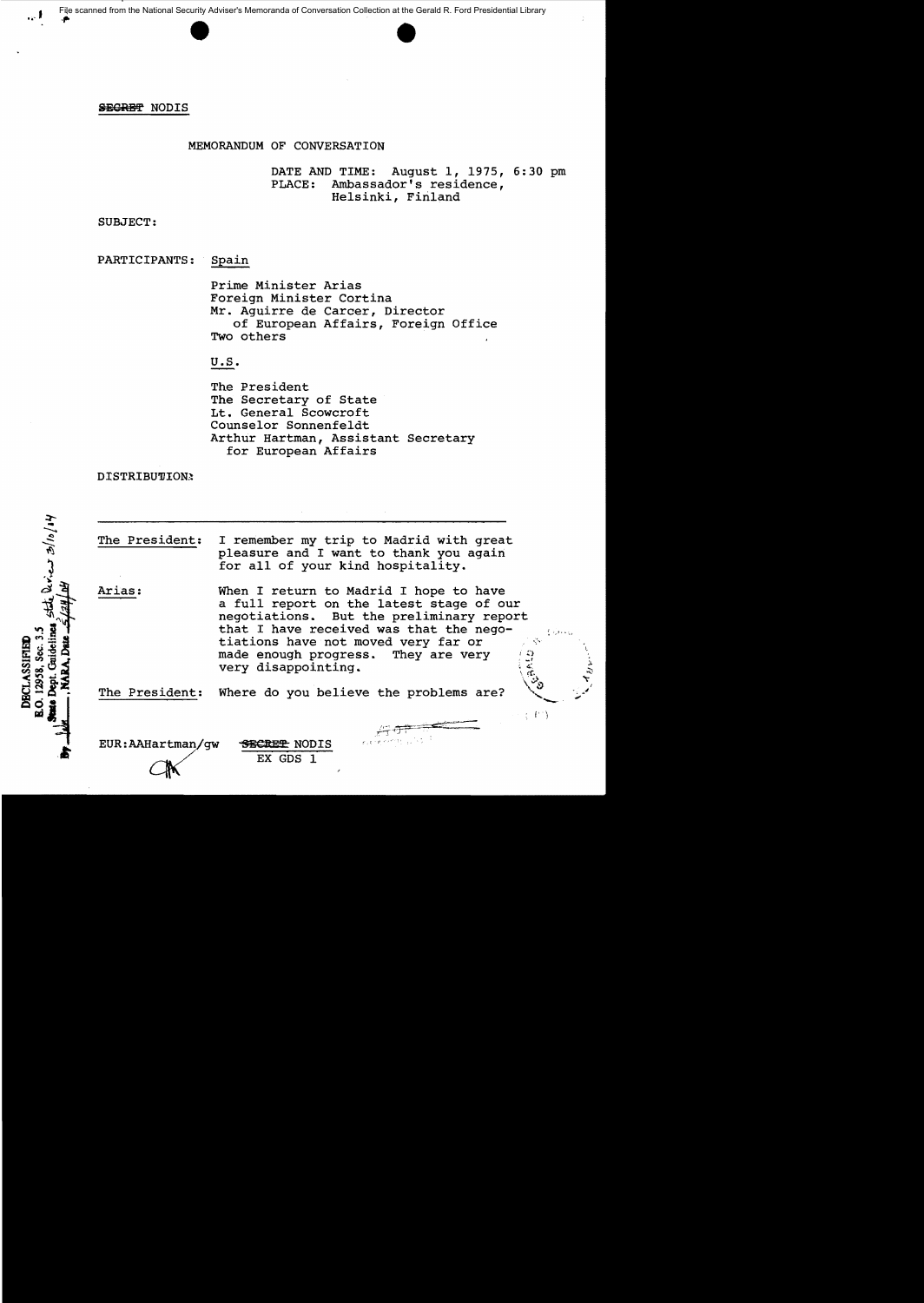File scanned from the National Security Adviser's Memoranda of Conversation Collection at the Gerald R. Ford Presidential Library



# SEGRET NODIS

 $\cdot$  I

# MEMORANDUM OF CONVERSATION

DATE AND TIME: August 1, 1975, 6:30 pm<br>PLACE: Ambassador's residence, Ambassador's residence, Helsinki, Finland

SUBJECT:

PARTICIPANTS: Spain

Prime Minister Arias Foreign Minister Cortina Mr. Aguirre de Career, Director of European Affairs, Foreign Office Two others

# U.S.

The President The Secretary of State Lt. General Scowcroft Counselor Sonnenfeldt Arthur Hartman, Assistant Secretary for European Affairs

DISTRIBUTION:

Stile aries 3/10/14 O. 12958, Sec. 3.5 **DECLASSIFIED** 

The President: Arias: I remember my trip to Madrid with great pleasure and I want to thank you again for all of your kind hospitality. When I return to Madrid I hope to have a full report on the latest stage of our negotiations. But the preliminary report that I have received was that the negotiations have not moved very far or<br>made enough progress. They are very

made enough progress. They are very  $\begin{array}{c} \hline \downarrow 0 \\ \hline \downarrow \end{array}$ 

 $\langle -\bar{P}^+\rangle$ 

The President: Where do you believe the problems are?

very disappointing.

EUR:AAHartman/qw SECRET NODIS

EX GDS 1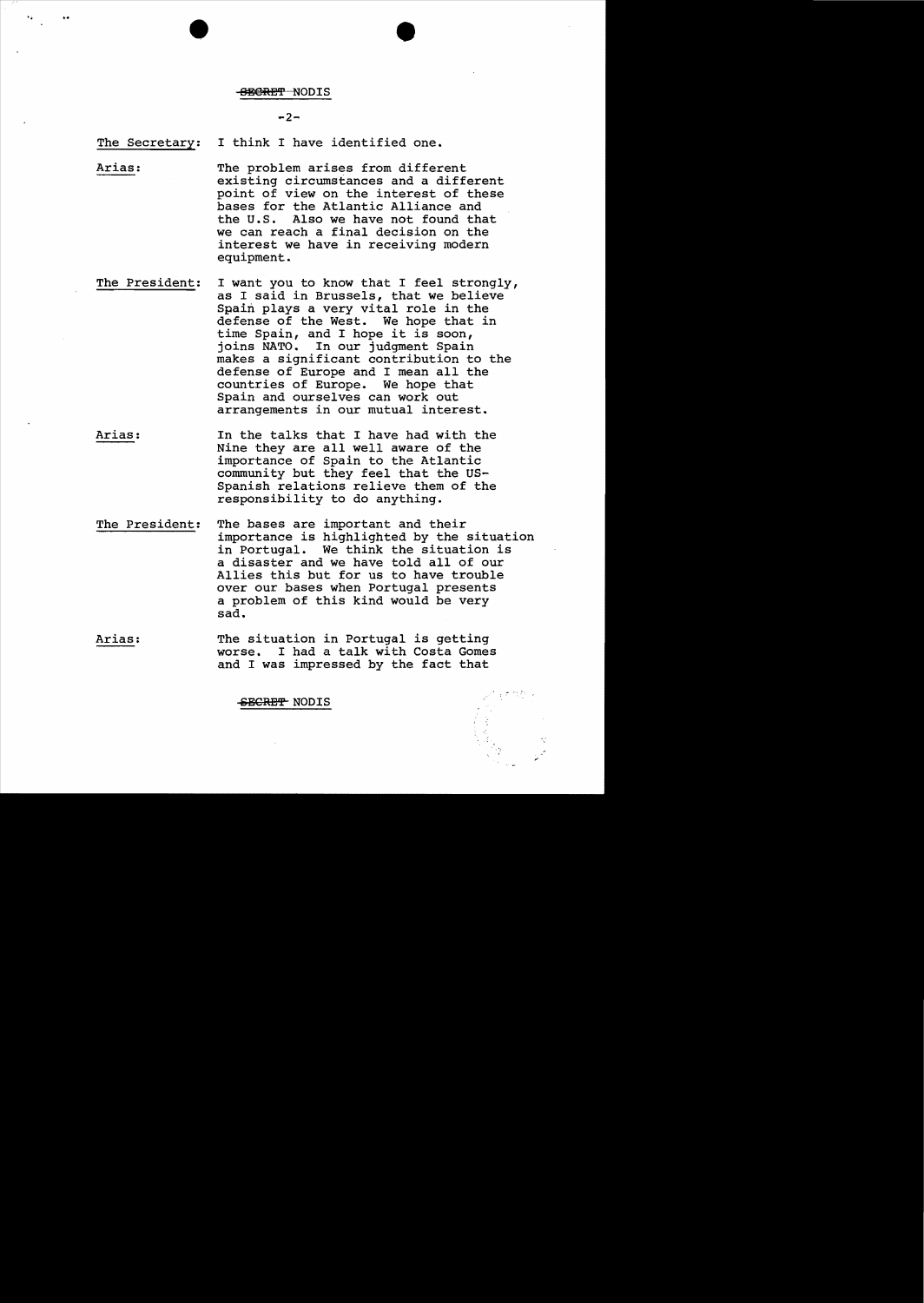#### 888RBT NODIS

 $-2-$ 

The Secretary: I think I have identified one.

"

Arias: The problem arises from different existing circumstances and a different point of view on the interest of these bases for the Atlantic Alliance and the U.S. Also we have not found that we can reach a final decision on the interest we have in receiving modern equipment.

- The President: I want you to know that I feel strongly, as I said in Brussels, that we believe Spain plays a very vital role in the defense of the West. We hope that in time Spain, and I hope it is soon, joins NATO. In our judgment Spain makes a significant contribution to the defense of Europe and I mean all the countries of Europe. We hope that Spain and ourselves can work out arrangements in our mutual interest.
- Arias: In the talks that I have had with the Nine they are all well aware of the importance of Spain to the Atlantic community but they feel that the US-Spanish relations relieve them of the responsibility to do anything.
- The President: The bases are important and their importance is highlighted by the situation in Portugal. We think the situation is a disaster and we have told all of our Allies this but for us to have trouble over our. bases when Portugal presents a problem of this kind would be very sad.
- Arias: The situation in Portugal is getting worse. I had a talk with Costa Gomes and I was impressed by the fact that

SECRET NODIS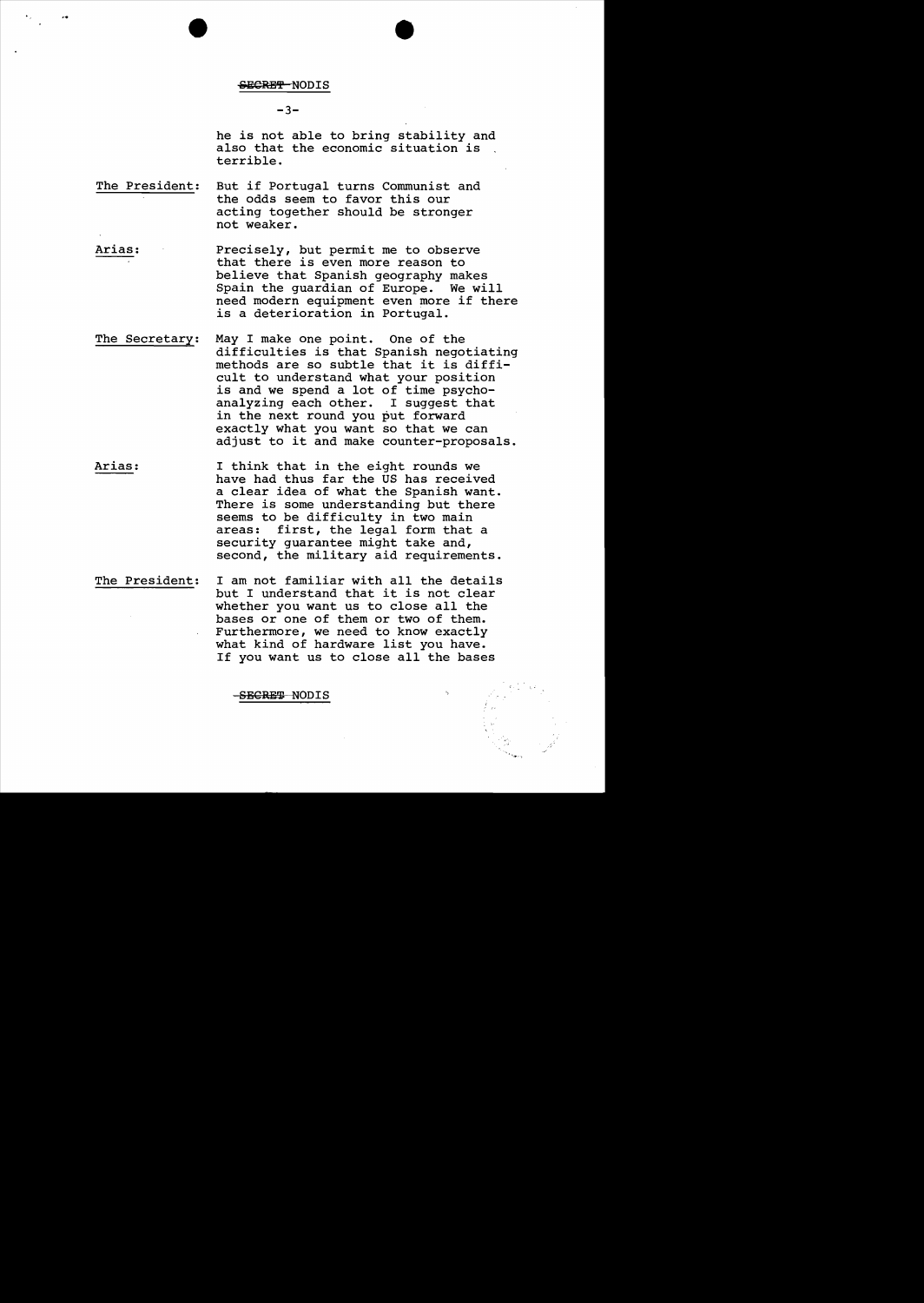#### SECRET NODIS

 $-3-$ 

he is not able to bring stability and also that the economic situation is terrible.

- The President: But if Portugal turns Communist and the odds seem to favor this our acting together should be stronger not weaker.
- Arias: Precisely, but permit me to observe that there is even more reason to believe that Spanish geography makes Spain the guardian of Europe. We will need modern equipment even more if there is a deterioration in Portugal.
- The Secretary: May I make one point. One of the difficulties is that Spanish negotiating methods are so subtle that it is difficult to understand what your position is and we spend a lot of time psychoanalyzing each other. I suggest that in the next round you put forward exactly what you want so that we can adjust to it and make counter-proposals.
- Arias: I think that in the eight rounds we have had thus far the US has received a clear idea of what the Spanish want. There is some understanding but there seems to be difficulty in two main areas: first, the legal form that a security guarantee might take and, second, the military aid requirements.
- The President: I am not familiar with all the details but I understand that it is not clear whether you want us to close all the bases or one of them or two of them. Furthermore, we need to know exactly what kind of hardware list you have. If you want us to close all the bases

SEGRET NODIS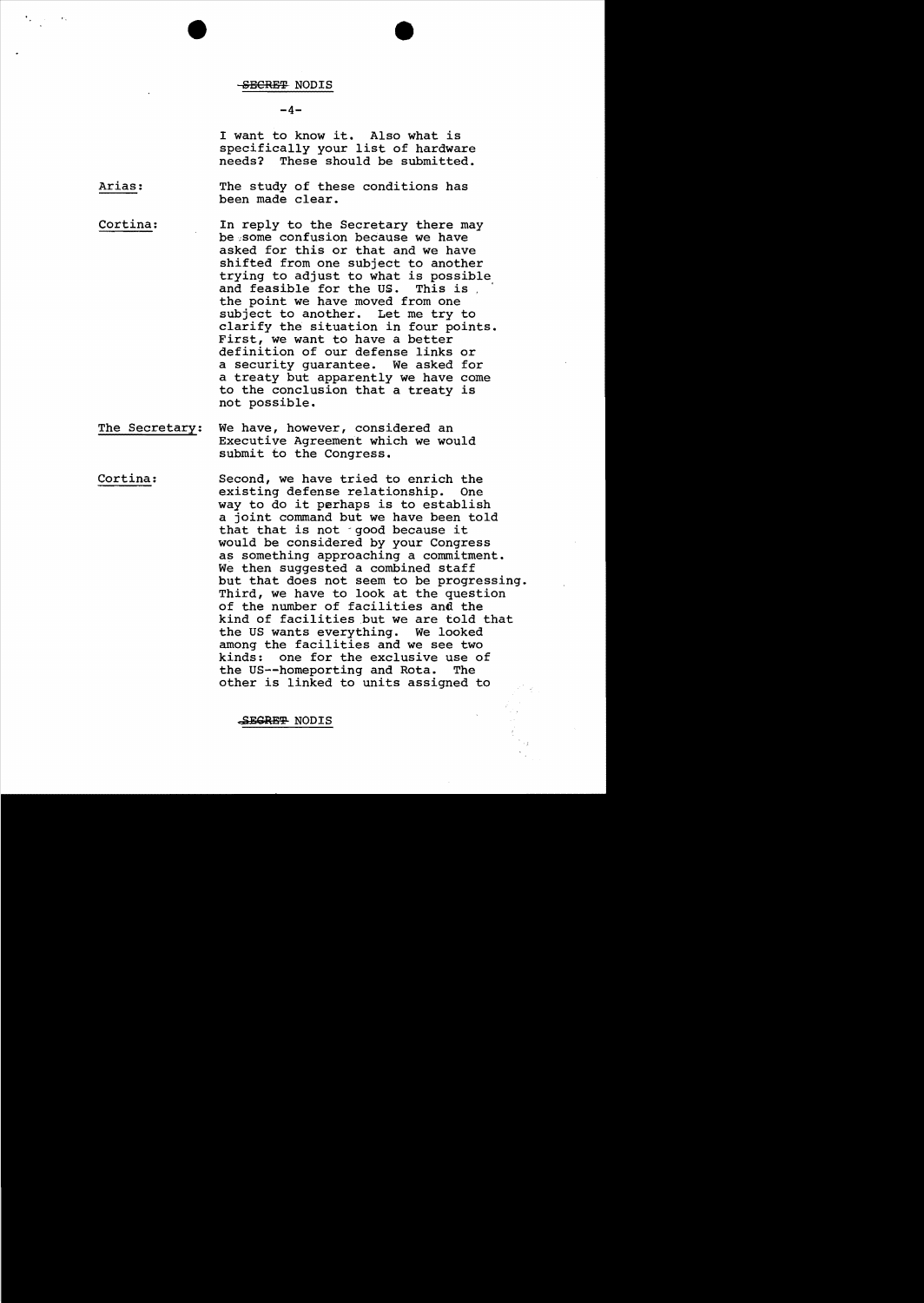#### SBCRET NODIS

## $-4-$

I want to know it. Also what is specifically your list of hardware<br>needs? These should be submitted. These should be submitted.

Arias: The study of these conditions has been made clear.

Cortina: In reply to the Secretary there may be:some confusion because we have asked for this or that and we have shifted from one subject to another trying to adjust to what is possible<br>and feasible for the US. This is the point we have moved from one subject to another. Let me try to clarify the situation *in* four points. First, we want to have a better definition of our defense links or a security guarantee. We asked for a treaty but apparently we have come to the conclusion that a treaty is not possible.

- The Secretary: We have, however, considered an Executive Agreement which we would submit to the Congress.
- Cortina: Second, we have tried to enrich the existing defense relationship. One way to do it perhaps *is* to establish a joint command but we have been told that that is not good because it would be considered by your Congress as something approaching a commitment. We then suggested a combined staff but that does not seem to be progressing. Third, we have to look at the question of the number of facilities and the kind of facilities but we are told that the US wants everything. We looked among the facilities and we see two kinds: one for the exclusive use of the US--homeporting and Rota. The other is linked to units assigned to

SEGRE<del>T</del> NODIS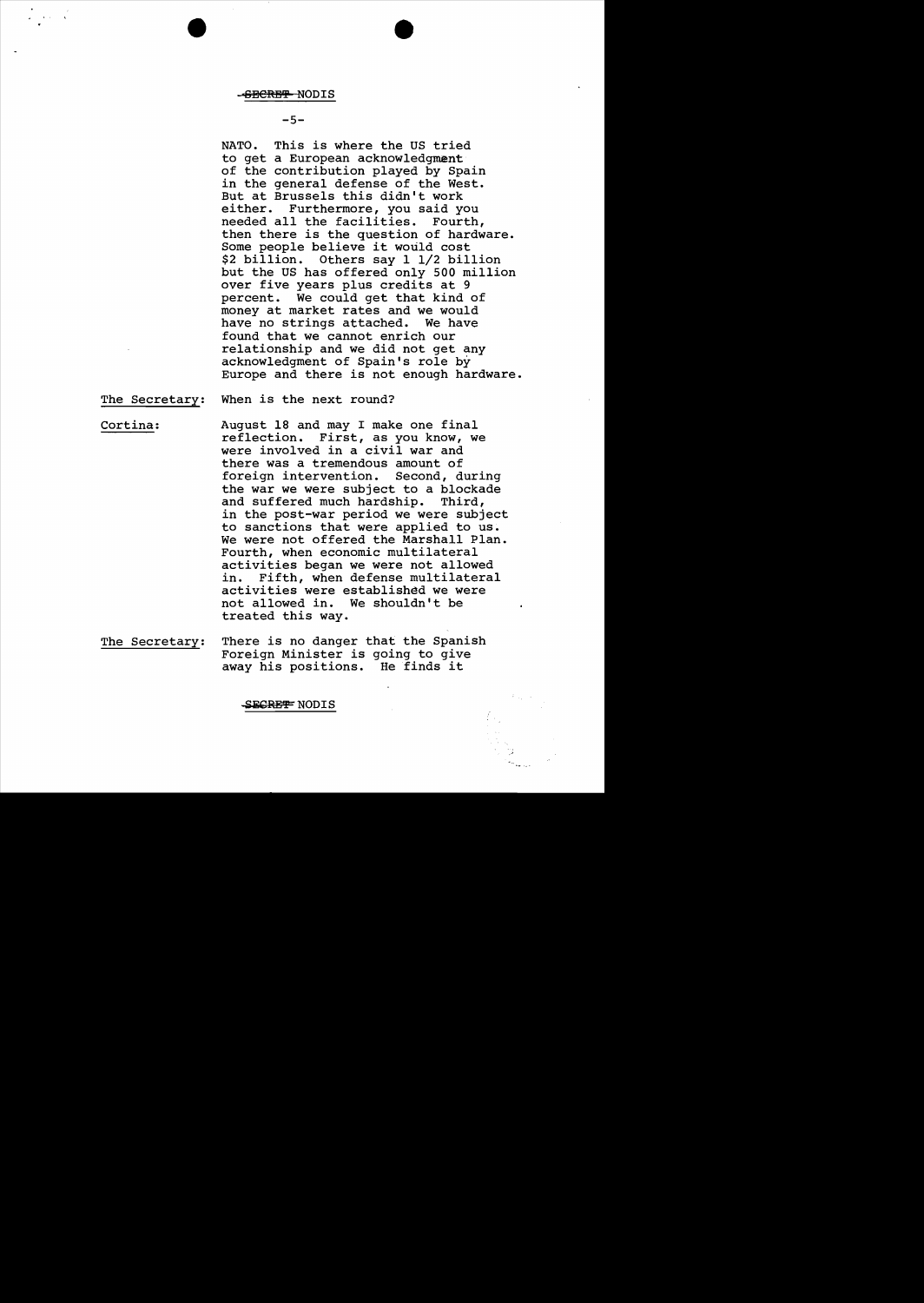#### -SECRET NODIS

 $-5-$ 

NATO. This is where the US tried to get a European acknowledgment of the contribution played by Spain in the general defense of the West. But at Brussels this didn't work either. Furthermore, you said you<br>needed all the facilities. Fourth, needed all the facilities. then there is the question of hardware. Some people believe it would cost \$2 billion. Others say 1 1/2 billion but the US has offered only 500 million over five years plus credits at 9 percent. We could get that kind of money at market rates and we would<br>have no strings attached. We have have no strings attached. found that we cannot enrich our relationship and we did not get any acknowledgment of Spain's role by Europe and there is not enough hardware.

The Secretary: When is the next round?

Cortina: August 18 and may I make one final reflection. First, as you know, we were involved in a civil war and there was a tremendous amount of foreign intervention. Second, during the war we were subject to a blockade<br>and suffered much hardship. Third, and suffered much hardship. in the post-war period we were subject to sanctions that were applied to us. We were not offered the Marshall Plan. Fourth, when economic multilateral activities began we were not allowed<br>in. Fifth, when defense multilatera Fifth, when defense multilateral activities were established we were not allowed in. We shouldn't be treated this way.

The Secretary: There is no danger that the Spanish Foreign Minister is going to give away his positions. He finds it

SECRET NODIS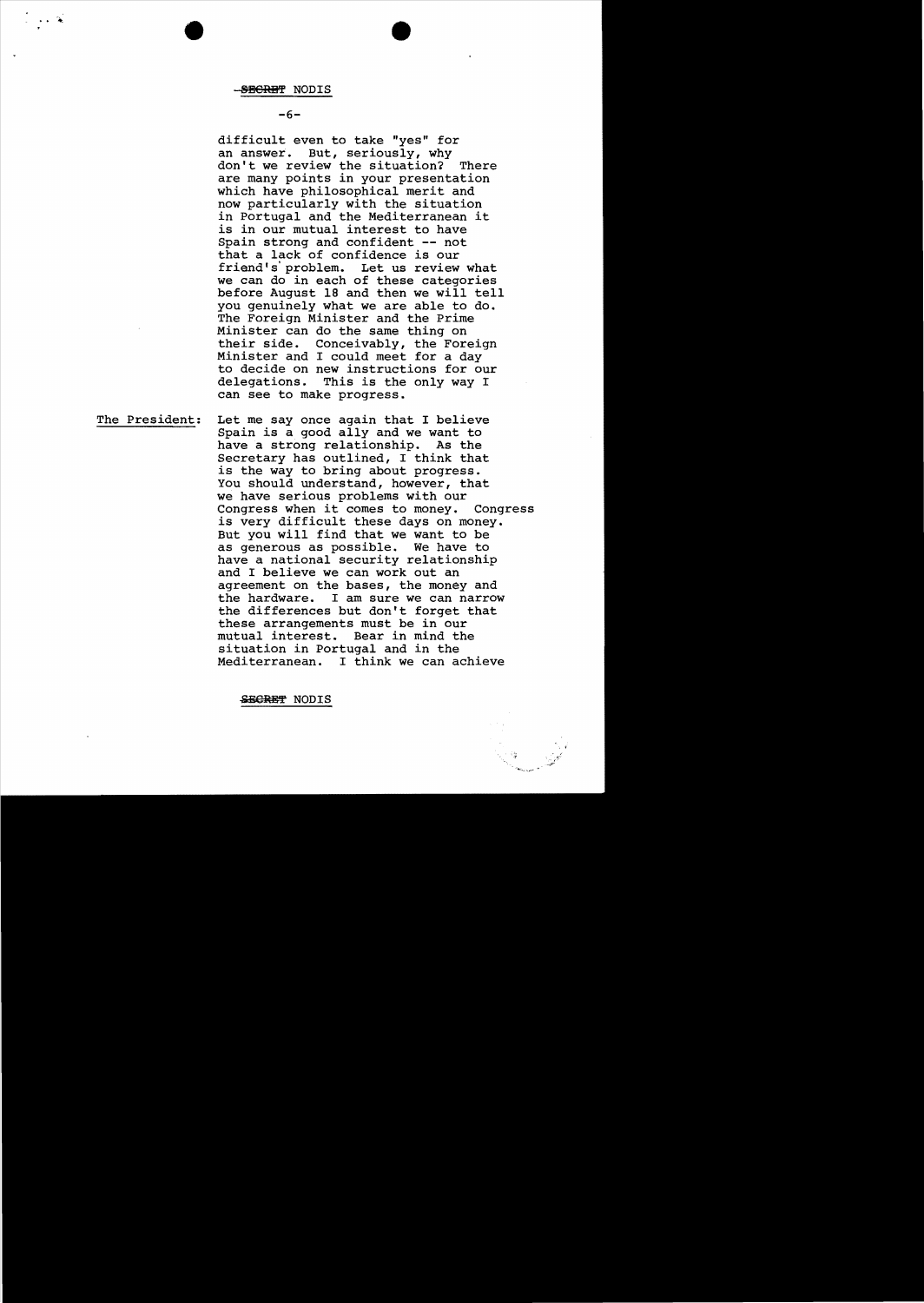## $-6-$

difficult even to take "yes" for an answer. But, seriously, why don't we review the situation? There are many points in your presentation which have philosophical merit and now particularly with the situation in Portugal and the Mediterranean it is in our mutual interest to have Spain strong and confident -- not that a lack of confidence is our friend's' problem. Let us review what we can do in each of these categories before August 18 and then we will tell you genuinely what we are able to do. The Foreign Minister and the Prime Minister can do the same thing on Conceivably, the Foreign Minister and I could meet for a day to decide on new instructions for our This is the only way I can see to make progress.

The President: Let me say once again that I believe Spain is a good ally and we want to have a strong relationship. As the Secretary has outlined, I think that is the way to bring about progress. You should understand, however, that we have serious problems with our Congress when it comes to money\_ Congress is very difficult these days on money. But you will find that we want to be as generous as possible. We have to have a national security relationship and I believe we can work out an agreement on the bases, the money and the hardware. I am sure we can narrow the differences but don't forget that these arrangements must be in our mutual interest. Bear in mind the situation in Portugal and in the Mediterranean. I think we can achieve

-&EOBB'f' NODIS